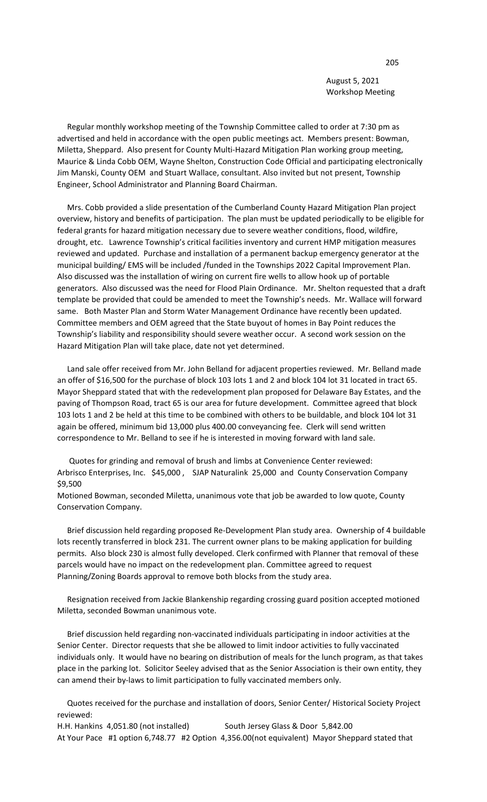August 5, 2021 Workshop Meeting

 Regular monthly workshop meeting of the Township Committee called to order at 7:30 pm as advertised and held in accordance with the open public meetings act. Members present: Bowman, Miletta, Sheppard. Also present for County Multi-Hazard Mitigation Plan working group meeting, Maurice & Linda Cobb OEM, Wayne Shelton, Construction Code Official and participating electronically Jim Manski, County OEM and Stuart Wallace, consultant. Also invited but not present, Township Engineer, School Administrator and Planning Board Chairman.

 Mrs. Cobb provided a slide presentation of the Cumberland County Hazard Mitigation Plan project overview, history and benefits of participation. The plan must be updated periodically to be eligible for federal grants for hazard mitigation necessary due to severe weather conditions, flood, wildfire, drought, etc. Lawrence Township's critical facilities inventory and current HMP mitigation measures reviewed and updated. Purchase and installation of a permanent backup emergency generator at the municipal building/ EMS will be included /funded in the Townships 2022 Capital Improvement Plan. Also discussed was the installation of wiring on current fire wells to allow hook up of portable generators. Also discussed was the need for Flood Plain Ordinance. Mr. Shelton requested that a draft template be provided that could be amended to meet the Township's needs. Mr. Wallace will forward same. Both Master Plan and Storm Water Management Ordinance have recently been updated. Committee members and OEM agreed that the State buyout of homes in Bay Point reduces the Township's liability and responsibility should severe weather occur. A second work session on the Hazard Mitigation Plan will take place, date not yet determined.

 Land sale offer received from Mr. John Belland for adjacent properties reviewed. Mr. Belland made an offer of \$16,500 for the purchase of block 103 lots 1 and 2 and block 104 lot 31 located in tract 65. Mayor Sheppard stated that with the redevelopment plan proposed for Delaware Bay Estates, and the paving of Thompson Road, tract 65 is our area for future development. Committee agreed that block 103 lots 1 and 2 be held at this time to be combined with others to be buildable, and block 104 lot 31 again be offered, minimum bid 13,000 plus 400.00 conveyancing fee. Clerk will send written correspondence to Mr. Belland to see if he is interested in moving forward with land sale.

 Quotes for grinding and removal of brush and limbs at Convenience Center reviewed: Arbrisco Enterprises, Inc. \$45,000 , SJAP Naturalink 25,000 and County Conservation Company \$9,500

Motioned Bowman, seconded Miletta, unanimous vote that job be awarded to low quote, County Conservation Company.

 Brief discussion held regarding proposed Re-Development Plan study area. Ownership of 4 buildable lots recently transferred in block 231. The current owner plans to be making application for building permits. Also block 230 is almost fully developed. Clerk confirmed with Planner that removal of these parcels would have no impact on the redevelopment plan. Committee agreed to request Planning/Zoning Boards approval to remove both blocks from the study area.

 Resignation received from Jackie Blankenship regarding crossing guard position accepted motioned Miletta, seconded Bowman unanimous vote.

 Brief discussion held regarding non-vaccinated individuals participating in indoor activities at the Senior Center. Director requests that she be allowed to limit indoor activities to fully vaccinated individuals only. It would have no bearing on distribution of meals for the lunch program, as that takes place in the parking lot. Solicitor Seeley advised that as the Senior Association is their own entity, they can amend their by-laws to limit participation to fully vaccinated members only.

 Quotes received for the purchase and installation of doors, Senior Center/ Historical Society Project reviewed: H.H. Hankins 4,051.80 (not installed) South Jersey Glass & Door 5,842.00

At Your Pace #1 option 6,748.77 #2 Option 4,356.00(not equivalent) Mayor Sheppard stated that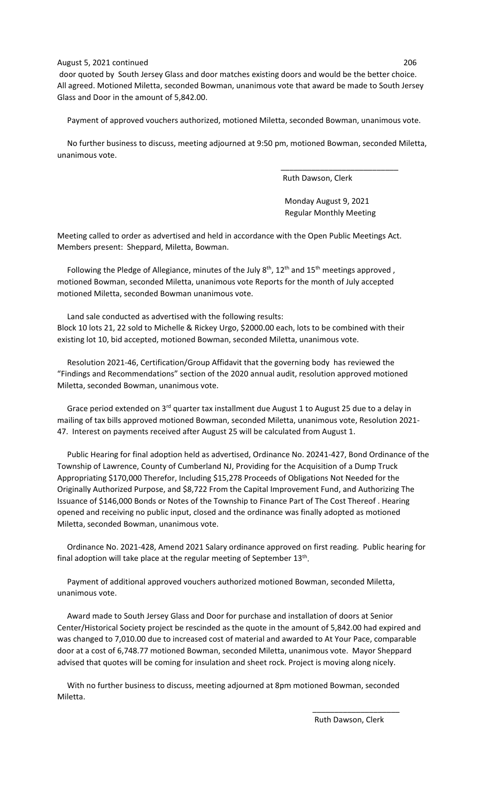## August 5, 2021 continued 206

door quoted by South Jersey Glass and door matches existing doors and would be the better choice. All agreed. Motioned Miletta, seconded Bowman, unanimous vote that award be made to South Jersey Glass and Door in the amount of 5,842.00.

Payment of approved vouchers authorized, motioned Miletta, seconded Bowman, unanimous vote.

 No further business to discuss, meeting adjourned at 9:50 pm, motioned Bowman, seconded Miletta, unanimous vote.

Ruth Dawson, Clerk

 Monday August 9, 2021 Regular Monthly Meeting

Meeting called to order as advertised and held in accordance with the Open Public Meetings Act. Members present: Sheppard, Miletta, Bowman.

 $\overline{\phantom{a}}$  , and the contract of the contract of the contract of the contract of the contract of the contract of the contract of the contract of the contract of the contract of the contract of the contract of the contrac

Following the Pledge of Allegiance, minutes of the July  $8<sup>th</sup>$ , 12<sup>th</sup> and 15<sup>th</sup> meetings approved, motioned Bowman, seconded Miletta, unanimous vote Reports for the month of July accepted motioned Miletta, seconded Bowman unanimous vote.

 Land sale conducted as advertised with the following results: Block 10 lots 21, 22 sold to Michelle & Rickey Urgo, \$2000.00 each, lots to be combined with their existing lot 10, bid accepted, motioned Bowman, seconded Miletta, unanimous vote.

 Resolution 2021-46, Certification/Group Affidavit that the governing body has reviewed the "Findings and Recommendations" section of the 2020 annual audit, resolution approved motioned Miletta, seconded Bowman, unanimous vote.

Grace period extended on 3<sup>rd</sup> quarter tax installment due August 1 to August 25 due to a delay in mailing of tax bills approved motioned Bowman, seconded Miletta, unanimous vote, Resolution 2021- 47. Interest on payments received after August 25 will be calculated from August 1.

 Public Hearing for final adoption held as advertised, Ordinance No. 20241-427, Bond Ordinance of the Township of Lawrence, County of Cumberland NJ, Providing for the Acquisition of a Dump Truck Appropriating \$170,000 Therefor, Including \$15,278 Proceeds of Obligations Not Needed for the Originally Authorized Purpose, and \$8,722 From the Capital Improvement Fund, and Authorizing The Issuance of \$146,000 Bonds or Notes of the Township to Finance Part of The Cost Thereof . Hearing opened and receiving no public input, closed and the ordinance was finally adopted as motioned Miletta, seconded Bowman, unanimous vote.

 Ordinance No. 2021-428, Amend 2021 Salary ordinance approved on first reading. Public hearing for final adoption will take place at the regular meeting of September 13<sup>th</sup>.

 Payment of additional approved vouchers authorized motioned Bowman, seconded Miletta, unanimous vote.

 Award made to South Jersey Glass and Door for purchase and installation of doors at Senior Center/Historical Society project be rescinded as the quote in the amount of 5,842.00 had expired and was changed to 7,010.00 due to increased cost of material and awarded to At Your Pace, comparable door at a cost of 6,748.77 motioned Bowman, seconded Miletta, unanimous vote. Mayor Sheppard advised that quotes will be coming for insulation and sheet rock. Project is moving along nicely.

 With no further business to discuss, meeting adjourned at 8pm motioned Bowman, seconded Miletta.

 $\overline{\phantom{a}}$  , and the contract of the contract of the contract of the contract of the contract of the contract of the contract of the contract of the contract of the contract of the contract of the contract of the contrac

Ruth Dawson, Clerk